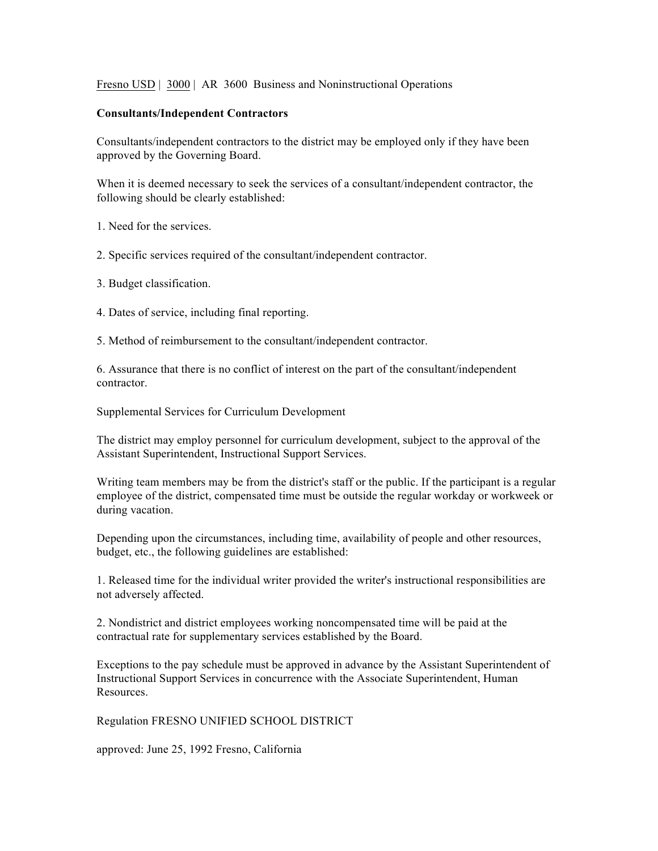Fresno USD | 3000 | AR 3600 Business and Noninstructional Operations

## **Consultants/Independent Contractors**

Consultants/independent contractors to the district may be employed only if they have been approved by the Governing Board.

When it is deemed necessary to seek the services of a consultant/independent contractor, the following should be clearly established:

1. Need for the services.

2. Specific services required of the consultant/independent contractor.

3. Budget classification.

4. Dates of service, including final reporting.

5. Method of reimbursement to the consultant/independent contractor.

6. Assurance that there is no conflict of interest on the part of the consultant/independent contractor.

Supplemental Services for Curriculum Development

The district may employ personnel for curriculum development, subject to the approval of the Assistant Superintendent, Instructional Support Services.

Writing team members may be from the district's staff or the public. If the participant is a regular employee of the district, compensated time must be outside the regular workday or workweek or during vacation.

Depending upon the circumstances, including time, availability of people and other resources, budget, etc., the following guidelines are established:

1. Released time for the individual writer provided the writer's instructional responsibilities are not adversely affected.

2. Nondistrict and district employees working noncompensated time will be paid at the contractual rate for supplementary services established by the Board.

Exceptions to the pay schedule must be approved in advance by the Assistant Superintendent of Instructional Support Services in concurrence with the Associate Superintendent, Human Resources.

Regulation FRESNO UNIFIED SCHOOL DISTRICT

approved: June 25, 1992 Fresno, California